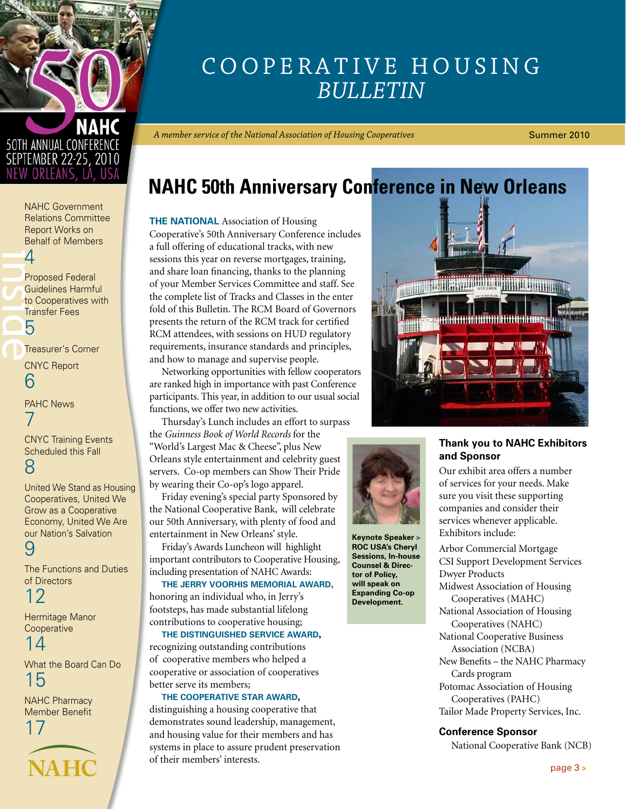<span id="page-0-0"></span>

# SEPTEMBER 22-25, 2010

NAHC Government [Relations Committee](#page-3-0)  Report Works on Behalf of Members 4

4<br>Price<br>D<sup>Tre</sup><br>DTre Proposed Federal Guidelines Harmful to Cooperatives with Transfer Fees 5

[Treasurer's Corner](#page-5-0)

CNYC Report 6

[PAHC News](#page-6-0)  7

[CNYC Training Events](#page-7-0)  Scheduled this Fall 8

[United We Stand as Housing](#page-8-0)  Cooperatives, United We Grow as a Cooperative Economy, United We Are our Nation's Salvation 9

[The Functions and Duties](#page-11-0)  of Directors

12

[Hermitage Manor](#page-13-0)  **Cooperative** 

[What the Board Can Do](#page-14-0)  15

[NAHC Pharmacy](#page-16-0)  Member Benefit

14

**[NAHC](http://www.NAHC.coop)** 17

### Cooperative Housing *Bulletin*

*A member service of the National Association of Housing Cooperatives*

Summer 2010

### **NAHC 50th Anniversary Conference in New Orleans**

**THE NATIONAL** Association of Housing Cooperative's 50th Anniversary Conference includes a full offering of educational tracks, with new sessions this year on reverse mortgages, training, and share loan financing, thanks to the planning of your Member Services Committee and staff. See the complete list of Tracks and Classes in the enter fold of this Bulletin. The RCM Board of Governors presents the return of the RCM track for certified RCM attendees, with sessions on HUD regulatory requirements, insurance standards and principles, and how to manage and supervise people.

Networking opportunities with fellow cooperators are ranked high in importance with past Conference participants. This year, in addition to our usual social functions, we offer two new activities.

Thursday's Lunch includes an effort to surpass the *Guinness Book of World Records* for the "World's Largest Mac & Cheese", plus New Orleans style entertainment and celebrity guest servers. Co-op members can Show Their Pride by wearing their Co-op's logo apparel.

Friday evening's special party Sponsored by the National Cooperative Bank, will celebrate our 50th Anniversary, with plenty of food and entertainment in New Orleans' style.

Friday's Awards Luncheon will highlight important contributors to Cooperative Housing, including presentation of NAHC Awards:

**The Jerry Voorhis Memorial Award**, honoring an individual who, in Jerry's footsteps, has made substantial lifelong contributions to cooperative housing;

**The Distinguished Service Award,**  recognizing outstanding contributions of cooperative members who helped a cooperative or association of cooperatives better serve its members;

#### **The Cooperative Star Award,**

distinguishing a housing cooperative that demonstrates sound leadership, management, and housing value for their members and has systems in place to assure prudent preservation of their members' interests.





**Keynote Speaker > ROC USA's Cheryl Sessions, In-house Counsel & Director of Policy, will speak on Expanding Co-op Development.**

#### **Thank you to NAHC Exhibitors and Sponsor**

Our exhibit area offers a number of services for your needs. Make sure you visit these supporting companies and consider their services whenever applicable. Exhibitors include:

Arbor Commercial Mortgage CSI Support Development Services Dwyer Products Midwest Association of Housing Cooperatives (MAHC) National Association of Housing Cooperatives (NAHC) National Cooperative Business Association (NCBA) New Benefits – the NAHC Pharmacy Cards program Potomac Association of Housing Cooperatives (PAHC) Tailor Made Property Services, Inc.

#### **Conference Sponsor**

National Cooperative Bank (NCB)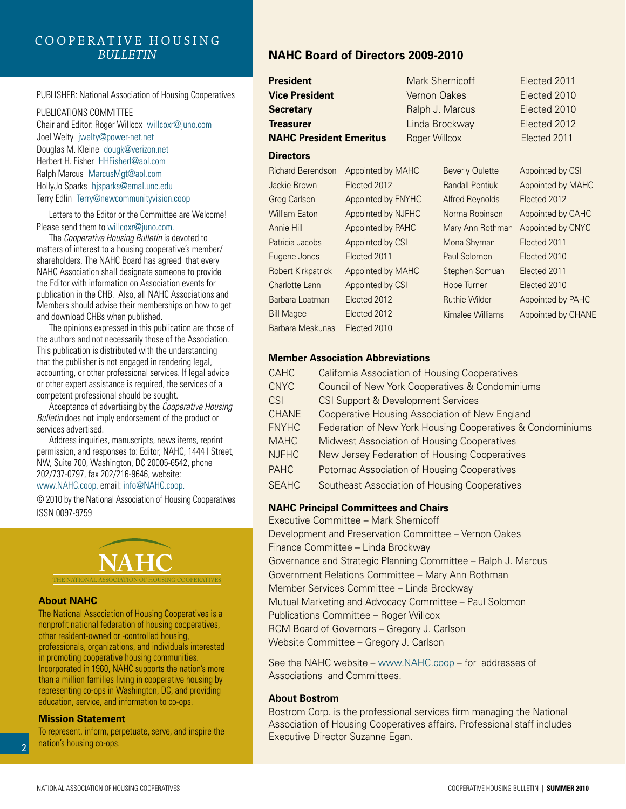#### Cooperative Housing *Bulletin*

#### PUBLISHER: National Association of Housing Cooperatives

PUBLICATIONS COMMITTEE Chair and Editor: Roger Willcox willcoxr@juno.com Joel Welty jwelty@power-net.net Douglas M. Kleine dougk@verizon.net Herbert H. Fisher HHFisherl@aol.com Ralph Marcus MarcusMgt@aol.com HollyJo Sparks hjsparks@emal.unc.edu Terry Edlin Terry@newcommunityvision.coop

Letters to the Editor or the Committee are Welcome! Please send them to willcoxr@juno.com.

The *Cooperative Housing Bulletin* is devoted to matters of interest to a housing cooperative's member/ shareholders. The NAHC Board has agreed that every NAHC Association shall designate someone to provide the Editor with information on Association events for publication in the CHB. Also, all NAHC Associations and Members should advise their memberships on how to get and download CHBs when published.

The opinions expressed in this publication are those of the authors and not necessarily those of the Association. This publication is distributed with the understanding that the publisher is not engaged in rendering legal, accounting, or other professional services. If legal advice or other expert assistance is required, the services of a competent professional should be sought.

Acceptance of advertising by the *Cooperative Housing Bulletin* does not imply endorsement of the product or services advertised.

Address inquiries, manuscripts, news items, reprint permission, and responses to: Editor, NAHC, 1444 I Street, NW, Suite 700, Washington, DC 20005-6542, phone 202/737-0797, fax 202/216-9646, website: www.NAHC.coop, email: info@NAHC.coop.

© 2010 by the National Association of Housing Cooperatives ISSN 0097-9759

# **NAHC**

The National Association of Housing Cooperatives

#### **About NAHC**

The National Association of Housing Cooperatives is a nonprofit national federation of housing cooperatives, other resident-owned or -controlled housing, professionals, organizations, and individuals interested in promoting cooperative housing communities. Incorporated in 1960, NAHC supports the nation's more than a million families living in cooperative housing by representing co-ops in Washington, DC, and providing education, service, and information to co-ops.

#### **Mission Statement**

To represent, inform, perpetuate, serve, and inspire the nation's housing co-ops.

#### **NAHC Board of Directors 2009-2010**

| <b>President</b>               |                    |               | <b>Mark Shernicoff</b> | Elected 2011      |
|--------------------------------|--------------------|---------------|------------------------|-------------------|
| <b>Vice President</b>          |                    | Vernon Oakes  |                        | Elected 2010      |
| <b>Secretary</b>               |                    |               | Ralph J. Marcus        | Elected 2010      |
| Treasurer                      |                    |               | Linda Brockway         | Elected 2012      |
| <b>NAHC President Emeritus</b> |                    | Roger Willcox |                        | Elected 2011      |
| <b>Directors</b>               |                    |               |                        |                   |
| <b>Richard Berendson</b>       | Appointed by MAHC  |               | <b>Beverly Oulette</b> | Appointed by CSI  |
| Jackie Brown                   | Elected 2012       |               | <b>Randall Pentiuk</b> | Appointed by MAHC |
| <b>Greg Carlson</b>            | Appointed by FNYHC |               | <b>Alfred Reynolds</b> | Elected 2012      |
| <b>William Eaton</b>           | Appointed by NJFHC |               | Norma Robinson         | Appointed by CAHC |
| Annie Hill                     | Appointed by PAHC  |               | Mary Ann Rothman       | Appointed by CNYC |
| Patricia Jacobs                | Appointed by CSI   |               | Mona Shyman            | Elected 2011      |
| Eugene Jones                   | Elected 2011       |               | Paul Solomon           | Elected 2010      |
| <b>Robert Kirkpatrick</b>      | Appointed by MAHC  |               | Stephen Somuah         | Elected 2011      |
|                                |                    |               |                        |                   |

#### **Member Association Abbreviations**

Charlotte Lann Appointed by CSI Barbara Loatman Elected 2012 Bill Magee Elected 2012 Barbara Meskunas Elected 2010

| <b>CAHC</b>  | <b>California Association of Housing Cooperatives</b>      |
|--------------|------------------------------------------------------------|
| <b>CNYC</b>  | Council of New York Cooperatives & Condominiums            |
| CSI          | <b>CSI Support &amp; Development Services</b>              |
| <b>CHANE</b> | Cooperative Housing Association of New England             |
| <b>FNYHC</b> | Federation of New York Housing Cooperatives & Condominiums |
| <b>MAHC</b>  | <b>Midwest Association of Housing Cooperatives</b>         |
| <b>NJFHC</b> | New Jersey Federation of Housing Cooperatives              |
| <b>PAHC</b>  | Potomac Association of Housing Cooperatives                |
| <b>SFAHC</b> | Southeast Association of Housing Cooperatives              |

Hope Turner Elected 2010 Ruthie Wilder **Appointed by PAHC** Kimalee Williams Appointed by CHANE

#### **NAHC Principal Committees and Chairs**

Executive Committee – Mark Shernicoff Development and Preservation Committee – Vernon Oakes Finance Committee – Linda Brockway Governance and Strategic Planning Committee – Ralph J. Marcus Government Relations Committee – Mary Ann Rothman Member Services Committee – Linda Brockway Mutual Marketing and Advocacy Committee – Paul Solomon Publications Committee – Roger Willcox RCM Board of Governors – Gregory J. Carlson Website Committee – Gregory J. Carlson

See the NAHC website – www.NAHC.coop – for addresses of Associations and Committees.

#### **About Bostrom**

Bostrom Corp. is the professional services firm managing the National Association of Housing Cooperatives affairs. Professional staff includes Executive Director Suzanne Egan.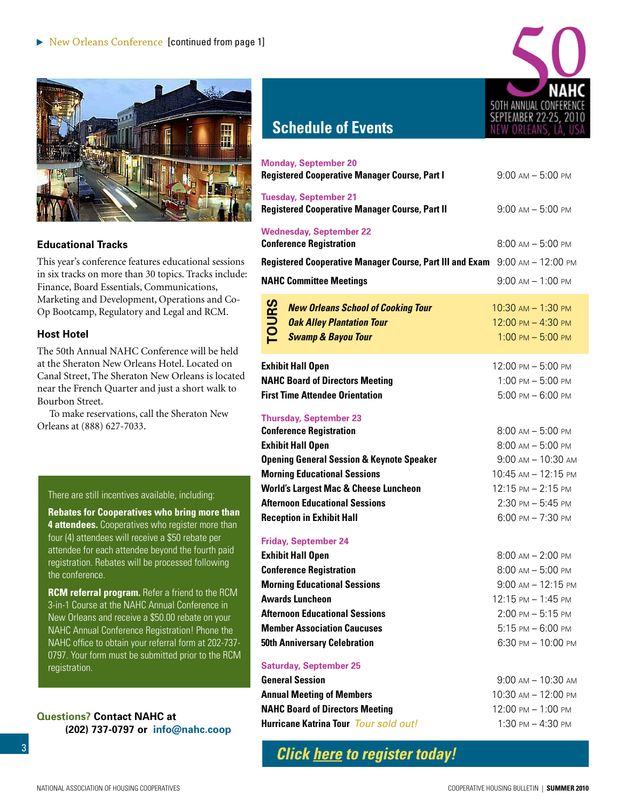<span id="page-2-0"></span>

#### **Educational Tracks**

This year's conference features educational sessions in six tracks on more than 30 topics. Tracks include: Finance, Board Essentials, Communications, Marketing and Development, Operations and Co-Op Bootcamp, Regulatory and Legal and RCM.

#### **Host Hotel**

The 50th Annual NAHC Conference will be held at the Sheraton New Orleans Hotel. Located on Canal Street, The Sheraton New Orleans is located near the French Quarter and just a short walk to Bourbon Street.

To make reservations, call the Sheraton New Orleans at (888) 627-7033.

#### There are still incentives available, including:

**Rebates for Cooperatives who bring more than 4 attendees.** Cooperatives who register more than four (4) attendees will receive a \$50 rebate per attendee for each attendee beyond the fourth paid registration. Rebates will be processed following the conference.

**RCM referral program.** Refer a friend to the RCM 3-in-1 Course at the NAHC Annual Conference in New Orleans and receive a \$50.00 rebate on your NAHC Annual Conference Registration! Phone the NAHC office to obtain your referral form at 202-737- 0797. Your form must be submitted prior to the RCM registration.

#### **Questions? Contact NAHC at (202) 737-0797 or info@nahc.coop**



### **Schedule of Events**

| <b>Monday, September 20</b><br><b>Registered Cooperative Manager Course, Part I</b>                                            | $9:00$ AM $-5:00$ PM                                              |
|--------------------------------------------------------------------------------------------------------------------------------|-------------------------------------------------------------------|
| <b>Tuesday, September 21</b><br><b>Registered Cooperative Manager Course, Part II</b>                                          | $9:00$ AM $- 5:00$ PM                                             |
| <b>Wednesday, September 22</b><br><b>Conference Registration</b>                                                               | $8:00$ AM $-$ 5:00 PM                                             |
| Registered Cooperative Manager Course, Part III and Exam 9:00 AM - 12:00 PM                                                    |                                                                   |
| <b>NAHC Committee Meetings</b>                                                                                                 | $9:00$ AM $- 1:00$ PM                                             |
| <b>TOURS</b><br><b>New Orleans School of Cooking Tour</b><br><b>Oak Alley Plantation Tour</b><br><b>Swamp &amp; Bayou Tour</b> | 10:30 AM - 1:30 PM<br>12:00 PM - 4:30 PM<br>$1:00$ PM $- 5:00$ PM |
| <b>Exhibit Hall Open</b>                                                                                                       | 12:00 PM - 5:00 PM                                                |
| <b>NAHC Board of Directors Meeting</b>                                                                                         | $1:00$ PM $- 5:00$ PM                                             |
| <b>First Time Attendee Orientation</b>                                                                                         | $5:00$ PM $- 6:00$ PM                                             |
| <b>Thursday, September 23</b>                                                                                                  |                                                                   |
| <b>Conference Registration</b>                                                                                                 | $8:00$ AM $- 5:00$ PM<br>$8:00$ AM $-$ 5:00 PM                    |
| <b>Exhibit Hall Open</b><br><b>Opening General Session &amp; Keynote Speaker</b>                                               | $9:00$ AM $- 10:30$ AM                                            |
| <b>Morning Educational Sessions</b>                                                                                            | 10:45 AM - 12:15 PM                                               |
| <b>World's Largest Mac &amp; Cheese Luncheon</b>                                                                               | 12:15 PM - 2:15 PM                                                |
| <b>Afternoon Educational Sessions</b>                                                                                          | $2:30$ PM $-5:45$ PM                                              |
| <b>Reception in Exhibit Hall</b>                                                                                               | $6:00$ PM $- 7:30$ PM                                             |
| <b>Friday, September 24</b>                                                                                                    |                                                                   |
| <b>Exhibit Hall Open</b>                                                                                                       | $8:00$ AM $- 2:00$ PM                                             |
| <b>Conference Registration</b>                                                                                                 | $8:00$ AM $- 5:00$ PM                                             |
| <b>Morning Educational Sessions</b>                                                                                            | $9:00 \text{ AM} - 12:15 \text{ PM}$                              |
| <b>Awards Luncheon</b>                                                                                                         | 12:15 PM - 1:45 PM                                                |
| <b>Afternoon Educational Sessions</b>                                                                                          | $2:00$ PM $- 5:15$ PM                                             |
| <b>Member Association Caucuses</b>                                                                                             | $5:15$ PM $-6:00$ PM                                              |
| <b>50th Anniversary Celebration</b>                                                                                            | $6:30$ PM $- 10:00$ PM                                            |
| <b>Saturday, September 25</b>                                                                                                  |                                                                   |
| <b>General Session</b>                                                                                                         | $9:00$ AM $- 10:30$ AM                                            |
| <b>Annual Meeting of Members</b>                                                                                               | $10:30 \text{ AM} - 12:00 \text{ PM}$                             |
| <b>NAHC Board of Directors Meeting</b>                                                                                         | 12:00 PM - 1:00 PM                                                |
| <b>Hurricane Katrina Tour</b> Tour sold out!                                                                                   | $1:30$ PM $- 4:30$ PM                                             |
|                                                                                                                                |                                                                   |

*[Click here to register today!](http://www.regonline.com/Checkin.asp?EventId=853123)*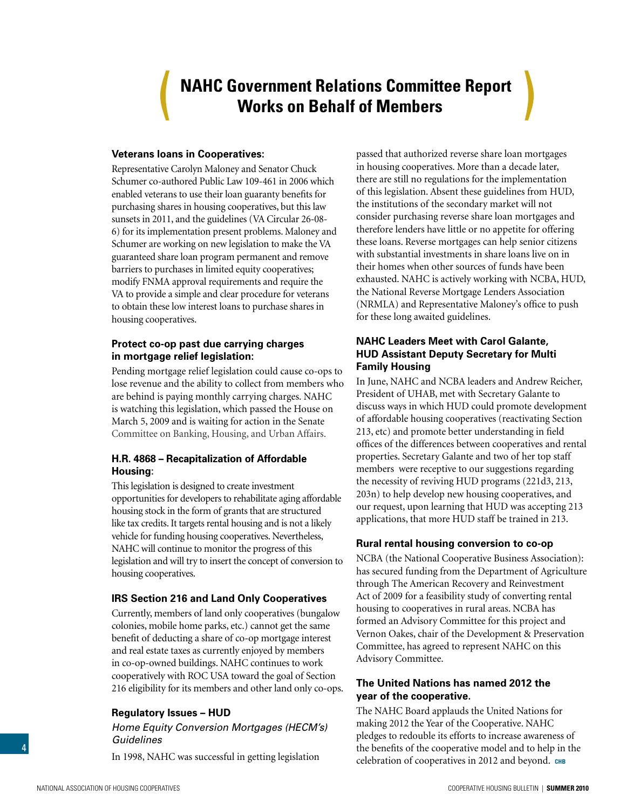### **NAHC Government Relations Committee Report Works on Behalf of Members**

#### <span id="page-3-0"></span>**Veterans loans in Cooperatives:**

Representative Carolyn Maloney and Senator Chuck Schumer co-authored Public Law 109-461 in 2006 which enabled veterans to use their loan guaranty benefits for purchasing shares in housing cooperatives, but this law sunsets in 2011, and the guidelines (VA Circular 26-08- 6) for its implementation present problems. Maloney and Schumer are working on new legislation to make the VA guaranteed share loan program permanent and remove barriers to purchases in limited equity cooperatives; modify FNMA approval requirements and require the VA to provide a simple and clear procedure for veterans to obtain these low interest loans to purchase shares in housing cooperatives.

#### **Protect co-op past due carrying charges in mortgage relief legislation:**

Pending mortgage relief legislation could cause co-ops to lose revenue and the ability to collect from members who are behind is paying monthly carrying charges. NAHC is watching this legislation, which passed the House on March 5, 2009 and is waiting for action in the Senate Committee on Banking, Housing, and Urban Affairs.

#### **H.R. 4868 – Recapitalization of Affordable Housing:**

This legislation is designed to create investment opportunities for developers to rehabilitate aging affordable housing stock in the form of grants that are structured like tax credits. It targets rental housing and is not a likely vehicle for funding housing cooperatives. Nevertheless, NAHC will continue to monitor the progress of this legislation and will try to insert the concept of conversion to housing cooperatives.

#### **IRS Section 216 and Land Only Cooperatives**

Currently, members of land only cooperatives (bungalow colonies, mobile home parks, etc.) cannot get the same benefit of deducting a share of co-op mortgage interest and real estate taxes as currently enjoyed by members in co-op-owned buildings. NAHC continues to work cooperatively with ROC USA toward the goal of Section 216 eligibility for its members and other land only co-ops.

#### **Regulatory Issues – HUD**

*Home Equity Conversion Mortgages (HECM's) Guidelines* 

In 1998, NAHC was successful in getting legislation

passed that authorized reverse share loan mortgages in housing cooperatives. More than a decade later, there are still no regulations for the implementation of this legislation. Absent these guidelines from HUD, the institutions of the secondary market will not consider purchasing reverse share loan mortgages and therefore lenders have little or no appetite for offering these loans. Reverse mortgages can help senior citizens with substantial investments in share loans live on in their homes when other sources of funds have been exhausted. NAHC is actively working with NCBA, HUD, the National Reverse Mortgage Lenders Association (NRMLA) and Representative Maloney's office to push for these long awaited guidelines.

#### **NAHC Leaders Meet with Carol Galante, HUD Assistant Deputy Secretary for Multi Family Housing**

In June, NAHC and NCBA leaders and Andrew Reicher, President of UHAB, met with Secretary Galante to discuss ways in which HUD could promote development of affordable housing cooperatives (reactivating Section 213, etc) and promote better understanding in field offices of the differences between cooperatives and rental properties. Secretary Galante and two of her top staff members were receptive to our suggestions regarding the necessity of reviving HUD programs (221d3, 213, 203n) to help develop new housing cooperatives, and our request, upon learning that HUD was accepting 213 applications, that more HUD staff be trained in 213.

#### **Rural rental housing conversion to co-op**

NCBA (the National Cooperative Business Association): has secured funding from the Department of Agriculture through The American Recovery and Reinvestment Act of 2009 for a feasibility study of converting rental housing to cooperatives in rural areas. NCBA has formed an Advisory Committee for this project and Vernon Oakes, chair of the Development & Preservation Committee, has agreed to represent NAHC on this Advisory Committee.

#### **The United Nations has named 2012 the year of the cooperative.**

The NAHC Board applauds the United Nations for making 2012 the Year of the Cooperative. NAHC pledges to redouble its efforts to increase awareness of the benefits of the cooperative model and to help in the celebration of cooperatives in 2012 and beyond. **chb**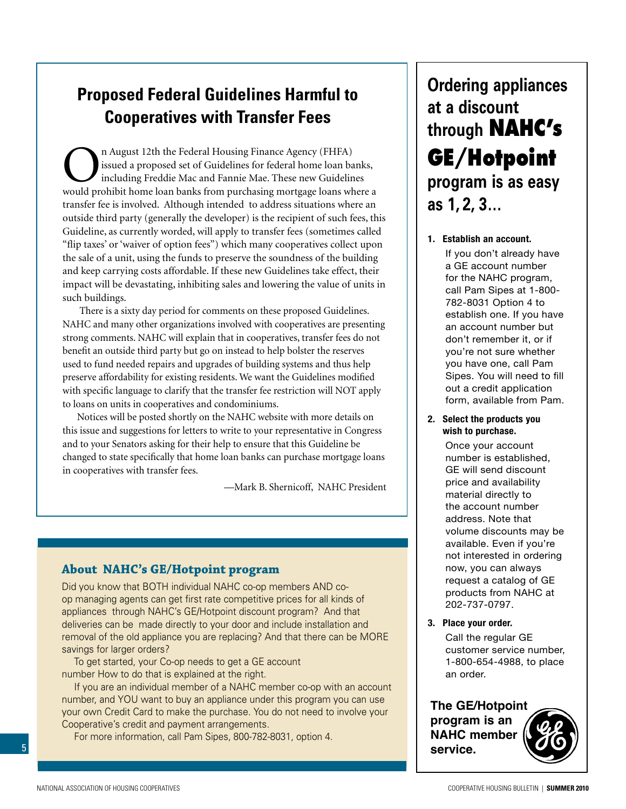### <span id="page-4-0"></span>**Proposed Federal Guidelines Harmful to Cooperatives with Transfer Fees**

The Federal Housing Finance Agency (FHFA)<br>issued a proposed set of Guidelines for federal home loan ba<br>including Freddie Mac and Fannie Mae. These new Guideline<br>would probibit home loan banks from purchasing mortgage loans issued a proposed set of Guidelines for federal home loan banks, including Freddie Mac and Fannie Mae. These new Guidelines would prohibit home loan banks from purchasing mortgage loans where a transfer fee is involved. Although intended to address situations where an outside third party (generally the developer) is the recipient of such fees, this Guideline, as currently worded, will apply to transfer fees (sometimes called "flip taxes' or 'waiver of option fees") which many cooperatives collect upon the sale of a unit, using the funds to preserve the soundness of the building and keep carrying costs affordable. If these new Guidelines take effect, their impact will be devastating, inhibiting sales and lowering the value of units in such buildings.

 There is a sixty day period for comments on these proposed Guidelines. NAHC and many other organizations involved with cooperatives are presenting strong comments. NAHC will explain that in cooperatives, transfer fees do not benefit an outside third party but go on instead to help bolster the reserves used to fund needed repairs and upgrades of building systems and thus help preserve affordability for existing residents. We want the Guidelines modified with specific language to clarify that the transfer fee restriction will NOT apply to loans on units in cooperatives and condominiums.

Notices will be posted shortly on the NAHC website with more details on this issue and suggestions for letters to write to your representative in Congress and to your Senators asking for their help to ensure that this Guideline be changed to state specifically that home loan banks can purchase mortgage loans in cooperatives with transfer fees.

—Mark B. Shernicoff, NAHC President

#### **About NAHC's GE/Hotpoint program**

Did you know that BOTH individual NAHC co-op members AND coop managing agents can get first rate competitive prices for all kinds of appliances through NAHC's GE/Hotpoint discount program? And that deliveries can be made directly to your door and include installation and removal of the old appliance you are replacing? And that there can be MORE savings for larger orders?

To get started, your Co-op needs to get a GE account number How to do that is explained at the right.

If you are an individual member of a NAHC member co-op with an account number, and YOU want to buy an appliance under this program you can use your own Credit Card to make the purchase. You do not need to involve your Cooperative's credit and payment arrangements.

For more information, call Pam Sipes, 800-782-8031, option 4.

### **Ordering appliances at a discount through NAHC's GE/Hotpoint program is as easy as 1, 2, 3…**

Pamer<br>you have one, can't am orpes. Tod will need to **1. Establish an account. 1. Establish an account.** If you don't already have a If you don't already have a GE account number a de associat namber<br>for the NAHC program, call Pam Sipes at 1-800-Fram Sipple at 1988<br>782-8031 Option 4 to establish one. If you have estasher shorn you have<br>an account number but don't remember it, or if you're not sure whether you have one, call Pam out a create approation form, available from Pam.

#### 2. Select the products you wish to purchase.

**2. Select the products you** number is established, **wish to purchase.** GE will send discount price and availability material directly to the account number address. Note that volume discounts may be available. Even if you're available. Even if you're now, you can always rient, you can almay of GE products from NAHC at GE products from NAHC at 202-737-0797. 202/01/01 Once your account

**3. Place your order. 3. Place your order.** 

Call the regular GE customer service number, 1-800-654-4988, to place 1-800-654-4988, to place an order. an order. customer service number,

**The GE/Hotpoint program is an NAHC member service.**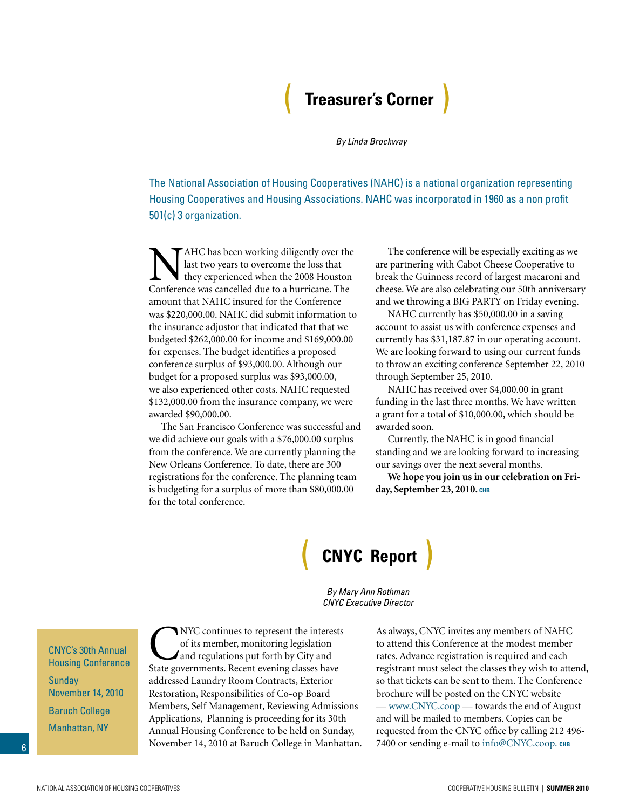### ( **Treasurer's Corner** )

*By Linda Brockway*

<span id="page-5-0"></span>The National Association of Housing Cooperatives (NAHC) is a national organization representing Housing Cooperatives and Housing Associations. NAHC was incorporated in 1960 as a non profit 501(c) 3 organization.

AHC has been working diligently over the last two years to overcome the loss that they experienced when the 2008 Houston Conference was cancelled due to a hurricane. The amount that NAHC insured for the Conference was \$220,000.00. NAHC did submit information to the insurance adjustor that indicated that that we budgeted \$262,000.00 for income and \$169,000.00 for expenses. The budget identifies a proposed conference surplus of \$93,000.00. Although our budget for a proposed surplus was \$93,000.00, we also experienced other costs. NAHC requested \$132,000.00 from the insurance company, we were awarded \$90,000.00.

The San Francisco Conference was successful and we did achieve our goals with a \$76,000.00 surplus from the conference. We are currently planning the New Orleans Conference. To date, there are 300 registrations for the conference. The planning team is budgeting for a surplus of more than \$80,000.00 for the total conference.

The conference will be especially exciting as we are partnering with Cabot Cheese Cooperative to break the Guinness record of largest macaroni and cheese. We are also celebrating our 50th anniversary and we throwing a BIG PARTY on Friday evening.

NAHC currently has \$50,000.00 in a saving account to assist us with conference expenses and currently has \$31,187.87 in our operating account. We are looking forward to using our current funds to throw an exciting conference September 22, 2010 through September 25, 2010.

NAHC has received over \$4,000.00 in grant funding in the last three months. We have written a grant for a total of \$10,000.00, which should be awarded soon.

Currently, the NAHC is in good financial standing and we are looking forward to increasing our savings over the next several months.

**We hope you join us in our celebration on Friday, September 23, 2010. chb**

### ( **CNYC Report** )

CNYC's 30th Annual Housing Conference Sunday November 14, 2010 Baruch College Manhattan, NY

MYC continues to represent the interests<br>of its member, monitoring legislation<br>and regulations put forth by City and<br>State governments. Becent evening classes have of its member, monitoring legislation and regulations put forth by City and State governments. Recent evening classes have addressed Laundry Room Contracts, Exterior Restoration, Responsibilities of Co-op Board Members, Self Management, Reviewing Admissions Applications, Planning is proceeding for its 30th Annual Housing Conference to be held on Sunday, November 14, 2010 at Baruch College in Manhattan.

*By Mary Ann Rothman CNYC Executive Director*

> As always, CNYC invites any members of NAHC to attend this Conference at the modest member rates. Advance registration is required and each registrant must select the classes they wish to attend, so that tickets can be sent to them. The Conference brochure will be posted on the CNYC website — www.CNYC.coop — towards the end of August and will be mailed to members. Copies can be requested from the CNYC office by calling 212 496- 7400 or sending e-mail to info@CNYC.coop. снв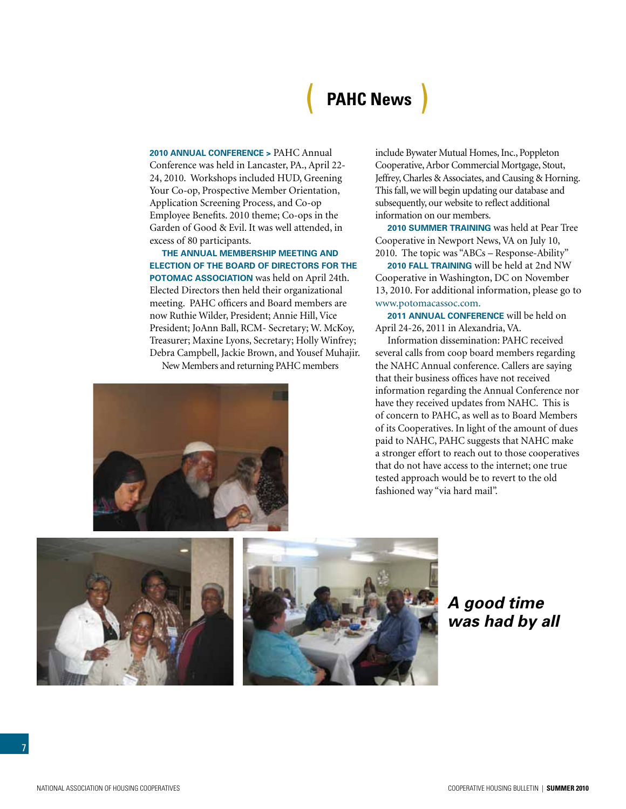## ( **PAHC News** )

<span id="page-6-0"></span>**2010 Annual Conference >** PAHC Annual Conference was held in Lancaster, PA., April 22- 24, 2010. Workshops included HUD, Greening Your Co-op, Prospective Member Orientation, Application Screening Process, and Co-op Employee Benefits. 2010 theme; Co-ops in the Garden of Good & Evil. It was well attended, in excess of 80 participants.

**The Annual Membership Meeting and Election of the Board of Directors for the POTOMAC ASSOCIATION** was held on April 24th. Elected Directors then held their organizational meeting. PAHC officers and Board members are now Ruthie Wilder, President; Annie Hill, Vice President; JoAnn Ball, RCM- Secretary; W. McKoy, Treasurer; Maxine Lyons, Secretary; Holly Winfrey; Debra Campbell, Jackie Brown, and Yousef Muhajir.

New Members and returning PAHC members



include Bywater Mutual Homes, Inc., Poppleton Cooperative, Arbor Commercial Mortgage, Stout, Jeffrey, Charles & Associates, and Causing & Horning. This fall, we will begin updating our database and subsequently, our website to reflect additional information on our members.

**2010 Summer Training** was held at Pear Tree Cooperative in Newport News, VA on July 10, 2010. The topic was "ABCs – Response-Ability"

**2010 Fall Training** will be held at 2nd NW Cooperative in Washington, DC on November 13, 2010. For additional information, please go to www.potomacassoc.com.

**2011 Annual Conference** will be held on April 24-26, 2011 in Alexandria, VA.

Information dissemination: PAHC received several calls from coop board members regarding the NAHC Annual conference. Callers are saying that their business offices have not received information regarding the Annual Conference nor have they received updates from NAHC. This is of concern to PAHC, as well as to Board Members of its Cooperatives. In light of the amount of dues paid to NAHC, PAHC suggests that NAHC make a stronger effort to reach out to those cooperatives that do not have access to the internet; one true tested approach would be to revert to the old fashioned way "via hard mail".



*A good time was had by all*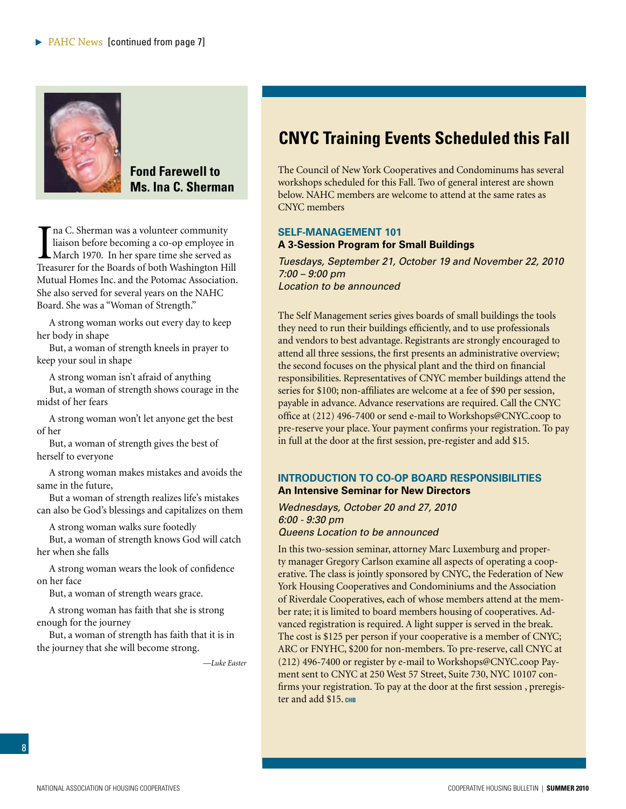<span id="page-7-0"></span>

**Fond Farewell to Ms. Ina C. Sherman**

I na C. Sherman was a volunteer community<br>liaison before becoming a co-op employee in<br>March 1970. In her spare time she served as<br>Treasurer for the Boards of both Washington Hill na C. Sherman was a volunteer community liaison before becoming a co-op employee in March 1970. In her spare time she served as Mutual Homes Inc. and the Potomac Association. She also served for several years on the NAHC Board. She was a "Woman of Strength."

A strong woman works out every day to keep her body in shape

But, a woman of strength kneels in prayer to keep your soul in shape

A strong woman isn't afraid of anything

But, a woman of strength shows courage in the midst of her fears

A strong woman won't let anyone get the best of her

But, a woman of strength gives the best of herself to everyone

A strong woman makes mistakes and avoids the same in the future,

But a woman of strength realizes life's mistakes can also be God's blessings and capitalizes on them

A strong woman walks sure footedly

But, a woman of strength knows God will catch her when she falls

A strong woman wears the look of confidence on her face

But, a woman of strength wears grace.

A strong woman has faith that she is strong enough for the journey

But, a woman of strength has faith that it is in the journey that she will become strong.

*—Luke Easter*

### **CNYC Training Events Scheduled this Fall**

The Council of New York Cooperatives and Condominums has several workshops scheduled for this Fall. Two of general interest are shown below. NAHC members are welcome to attend at the same rates as CNYC members

#### **SELF-MANAGEMENT 101 A 3-Session Program for Small Buildings**

*Tuesdays, September 21, October 19 and November 22, 2010 7:00 – 9:00 pm Location to be announced*

The Self Management series gives boards of small buildings the tools they need to run their buildings efficiently, and to use professionals and vendors to best advantage. Registrants are strongly encouraged to attend all three sessions, the first presents an administrative overview; the second focuses on the physical plant and the third on financial responsibilities. Representatives of CNYC member buildings attend the series for \$100; non-affiliates are welcome at a fee of \$90 per session, payable in advance. Advance reservations are required. Call the CNYC office at (212) 496-7400 or send e-mail to Workshops@CNYC.coop to pre-reserve your place. Your payment confirms your registration. To pay in full at the door at the first session, pre-register and add \$15.

#### **INTRODUCTION TO CO-OP BOARD RESPONSIBILITIES An Intensive Seminar for New Directors**

*Wednesdays, October 20 and 27, 2010 6:00 - 9:30 pm Queens Location to be announced*

In this two-session seminar, attorney Marc Luxemburg and property manager Gregory Carlson examine all aspects of operating a cooperative. The class is jointly sponsored by CNYC, the Federation of New York Housing Cooperatives and Condominiums and the Association of Riverdale Cooperatives, each of whose members attend at the member rate; it is limited to board members housing of cooperatives. Advanced registration is required. A light supper is served in the break. The cost is \$125 per person if your cooperative is a member of CNYC; ARC or FNYHC, \$200 for non-members. To pre-reserve, call CNYC at (212) 496-7400 or register by e-mail to Workshops@CNYC.coop Payment sent to CNYC at 250 West 57 Street, Suite 730, NYC 10107 confirms your registration. To pay at the door at the first session , preregister and add \$15. CHB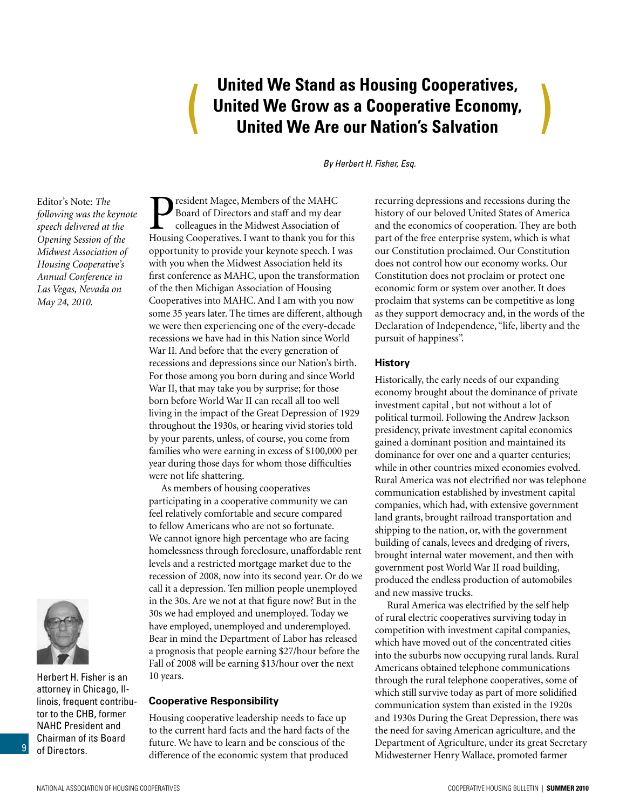### **United We Stand as Housing Cooperatives, United We Grow as a Cooperative Economy, United We Are our Nation's Salvation**

*By Herbert H. Fisher, Esq.*

<span id="page-8-0"></span>Editor's Note: *The following was the keynote speech delivered at the Opening Session of the Midwest Association of Housing Cooperative's Annual Conference in Las Vegas, Nevada on May 24, 2010.*



9

Herbert H. Fisher is an attorney in Chicago, Illinois, frequent contributor to the CHB, former NAHC President and Chairman of its Board of Directors.

**P**resident Magee, Members of the MAHC<br>Board of Directors and staff and my dear<br>colleagues in the Midwest Association of<br>Housing Cooperatives I want to thank you for Board of Directors and staff and my dear colleagues in the Midwest Association of Housing Cooperatives. I want to thank you for this opportunity to provide your keynote speech. I was with you when the Midwest Association held its first conference as MAHC, upon the transformation of the then Michigan Association of Housing Cooperatives into MAHC. And I am with you now some 35 years later. The times are different, although we were then experiencing one of the every-decade recessions we have had in this Nation since World War II. And before that the every generation of recessions and depressions since our Nation's birth. For those among you born during and since World War II, that may take you by surprise; for those born before World War II can recall all too well living in the impact of the Great Depression of 1929 throughout the 1930s, or hearing vivid stories told by your parents, unless, of course, you come from families who were earning in excess of \$100,000 per year during those days for whom those difficulties were not life shattering.

As members of housing cooperatives participating in a cooperative community we can feel relatively comfortable and secure compared to fellow Americans who are not so fortunate. We cannot ignore high percentage who are facing homelessness through foreclosure, unaffordable rent levels and a restricted mortgage market due to the recession of 2008, now into its second year. Or do we call it a depression. Ten million people unemployed in the 30s. Are we not at that figure now? But in the 30s we had employed and unemployed. Today we have employed, unemployed and underemployed. Bear in mind the Department of Labor has released a prognosis that people earning \$27/hour before the Fall of 2008 will be earning \$13/hour over the next 10 years.

#### **Cooperative Responsibility**

Housing cooperative leadership needs to face up to the current hard facts and the hard facts of the future. We have to learn and be conscious of the difference of the economic system that produced

recurring depressions and recessions during the history of our beloved United States of America and the economics of cooperation. They are both part of the free enterprise system, which is what our Constitution proclaimed. Our Constitution does not control how our economy works. Our Constitution does not proclaim or protect one economic form or system over another. It does proclaim that systems can be competitive as long as they support democracy and, in the words of the Declaration of Independence, "life, liberty and the pursuit of happiness".

#### **History**

Historically, the early needs of our expanding economy brought about the dominance of private investment capital , but not without a lot of political turmoil. Following the Andrew Jackson presidency, private investment capital economics gained a dominant position and maintained its dominance for over one and a quarter centuries; while in other countries mixed economies evolved. Rural America was not electrified nor was telephone communication established by investment capital companies, which had, with extensive government land grants, brought railroad transportation and shipping to the nation, or, with the government building of canals, levees and dredging of rivers, brought internal water movement, and then with government post World War II road building, produced the endless production of automobiles and new massive trucks.

Rural America was electrified by the self help of rural electric cooperatives surviving today in competition with investment capital companies, which have moved out of the concentrated cities into the suburbs now occupying rural lands. Rural Americans obtained telephone communications through the rural telephone cooperatives, some of which still survive today as part of more solidified communication system than existed in the 1920s and 1930s During the Great Depression, there was the need for saving American agriculture, and the Department of Agriculture, under its great Secretary Midwesterner Henry Wallace, promoted farmer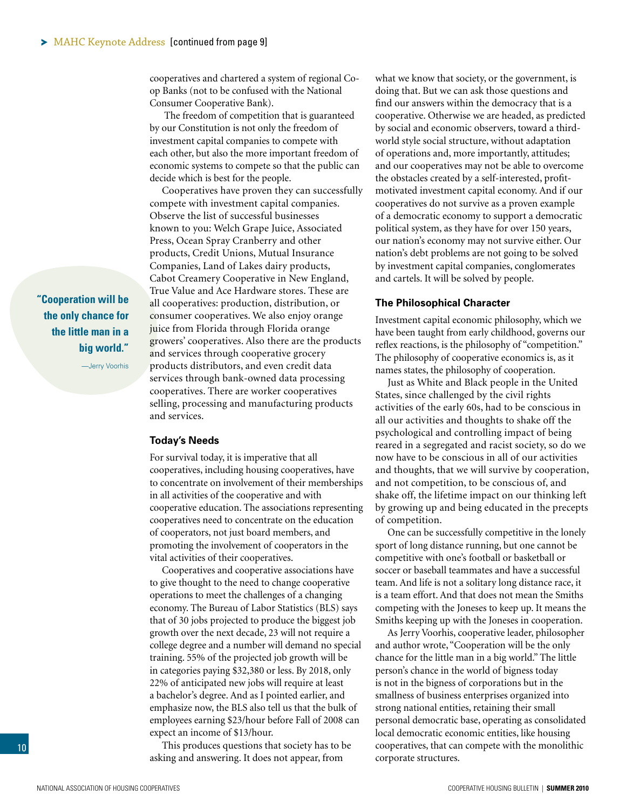<span id="page-9-0"></span>cooperatives and chartered a system of regional Coop Banks (not to be confused with the National Consumer Cooperative Bank).

 The freedom of competition that is guaranteed by our Constitution is not only the freedom of investment capital companies to compete with each other, but also the more important freedom of economic systems to compete so that the public can decide which is best for the people.

Cooperatives have proven they can successfully compete with investment capital companies. Observe the list of successful businesses known to you: Welch Grape Juice, Associated Press, Ocean Spray Cranberry and other products, Credit Unions, Mutual Insurance Companies, Land of Lakes dairy products, Cabot Creamery Cooperative in New England, True Value and Ace Hardware stores. These are all cooperatives: production, distribution, or consumer cooperatives. We also enjoy orange juice from Florida through Florida orange growers' cooperatives. Also there are the products and services through cooperative grocery products distributors, and even credit data services through bank-owned data processing cooperatives. There are worker cooperatives selling, processing and manufacturing products and services.

**Today's Needs**

For survival today, it is imperative that all cooperatives, including housing cooperatives, have to concentrate on involvement of their memberships in all activities of the cooperative and with cooperative education. The associations representing cooperatives need to concentrate on the education of cooperators, not just board members, and promoting the involvement of cooperators in the vital activities of their cooperatives.

Cooperatives and cooperative associations have to give thought to the need to change cooperative operations to meet the challenges of a changing economy. The Bureau of Labor Statistics (BLS) says that of 30 jobs projected to produce the biggest job growth over the next decade, 23 will not require a college degree and a number will demand no special training. 55% of the projected job growth will be in categories paying \$32,380 or less. By 2018, only 22% of anticipated new jobs will require at least a bachelor's degree. And as I pointed earlier, and emphasize now, the BLS also tell us that the bulk of employees earning \$23/hour before Fall of 2008 can expect an income of \$13/hour.

This produces questions that society has to be asking and answering. It does not appear, from

what we know that society, or the government, is doing that. But we can ask those questions and find our answers within the democracy that is a cooperative. Otherwise we are headed, as predicted by social and economic observers, toward a thirdworld style social structure, without adaptation of operations and, more importantly, attitudes; and our cooperatives may not be able to overcome the obstacles created by a self-interested, profitmotivated investment capital economy. And if our cooperatives do not survive as a proven example of a democratic economy to support a democratic political system, as they have for over 150 years, our nation's economy may not survive either. Our nation's debt problems are not going to be solved by investment capital companies, conglomerates and cartels. It will be solved by people.

#### **The Philosophical Character**

Investment capital economic philosophy, which we have been taught from early childhood, governs our reflex reactions, is the philosophy of "competition." The philosophy of cooperative economics is, as it names states, the philosophy of cooperation.

Just as White and Black people in the United States, since challenged by the civil rights activities of the early 60s, had to be conscious in all our activities and thoughts to shake off the psychological and controlling impact of being reared in a segregated and racist society, so do we now have to be conscious in all of our activities and thoughts, that we will survive by cooperation, and not competition, to be conscious of, and shake off, the lifetime impact on our thinking left by growing up and being educated in the precepts of competition.

One can be successfully competitive in the lonely sport of long distance running, but one cannot be competitive with one's football or basketball or soccer or baseball teammates and have a successful team. And life is not a solitary long distance race, it is a team effort. And that does not mean the Smiths competing with the Joneses to keep up. It means the Smiths keeping up with the Joneses in cooperation.

As Jerry Voorhis, cooperative leader, philosopher and author wrote, "Cooperation will be the only chance for the little man in a big world." The little person's chance in the world of bigness today is not in the bigness of corporations but in the smallness of business enterprises organized into strong national entities, retaining their small personal democratic base, operating as consolidated local democratic economic entities, like housing cooperatives, that can compete with the monolithic corporate structures.

**"Cooperation will be the only chance for the little man in a big world."**

—Jerry Voorhis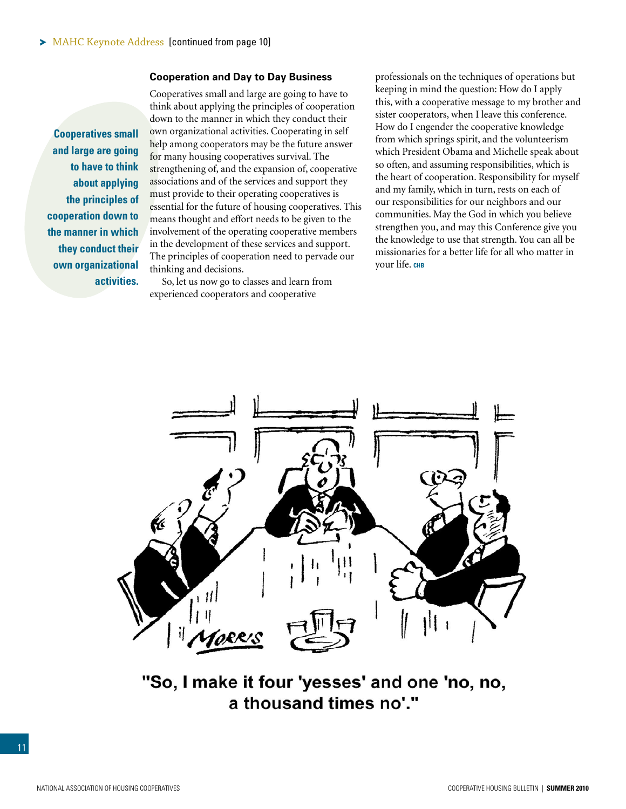#### **Cooperation and Day to Day Business**

**Cooperatives small and large are going to have to think about applying the principles of cooperation down to the manner in which they conduct their own organizational activities.** 

Cooperatives small and large are going to have to think about applying the principles of cooperation down to the manner in which they conduct their own organizational activities. Cooperating in self help among cooperators may be the future answer for many housing cooperatives survival. The strengthening of, and the expansion of, cooperative associations and of the services and support they must provide to their operating cooperatives is essential for the future of housing cooperatives. This means thought and effort needs to be given to the involvement of the operating cooperative members in the development of these services and support. The principles of cooperation need to pervade our thinking and decisions.

So, let us now go to classes and learn from experienced cooperators and cooperative

professionals on the techniques of operations but keeping in mind the question: How do I apply this, with a cooperative message to my brother and sister cooperators, when I leave this conference. How do I engender the cooperative knowledge from which springs spirit, and the volunteerism which President Obama and Michelle speak about so often, and assuming responsibilities, which is the heart of cooperation. Responsibility for myself and my family, which in turn, rests on each of our responsibilities for our neighbors and our communities. May the God in which you believe strengthen you, and may this Conference give you the knowledge to use that strength. You can all be missionaries for a better life for all who matter in your life. **chb**



"So, I make it four 'yesses' and one 'no, no, a thousand times no'."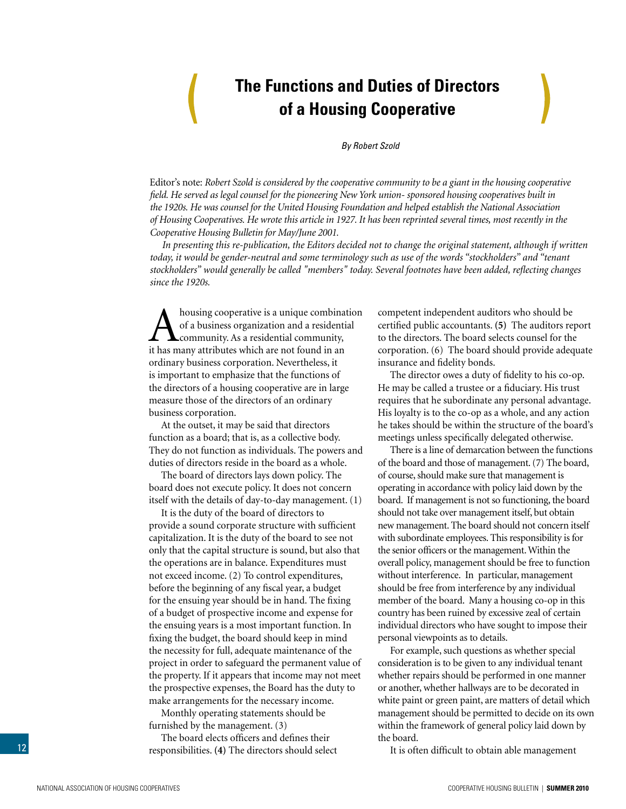### **The Functions and Duties of Directors of a Housing Cooperative**

*By Robert Szold*

<span id="page-11-0"></span>Editor's note: *Robert Szold is considered by the cooperative community to be a giant in the housing cooperative field. He served as legal counsel for the pioneering New York union- sponsored housing cooperatives built in the 1920s. He was counsel for the United Housing Foundation and helped establish the National Association of Housing Cooperatives. He wrote this article in 1927. It has been reprinted several times, most recently in the Cooperative Housing Bulletin for May/June 2001.* 

*In presenting this re-publication, the Editors decided not to change the original statement, although if written today, it would be gender-neutral and some terminology such as use of the words "stockholders" and "tenant stockholders" would generally be called "members" today. Several footnotes have been added, reflecting changes since the 1920s.*

A housing cooperative is a unique combination<br>of a business organization and a residential<br>it has many attributes which are not found in an of a business organization and a residential community. As a residential community, it has many attributes which are not found in an ordinary business corporation. Nevertheless, it is important to emphasize that the functions of the directors of a housing cooperative are in large measure those of the directors of an ordinary business corporation.

At the outset, it may be said that directors function as a board; that is, as a collective body. They do not function as individuals. The powers and duties of directors reside in the board as a whole.

The board of directors lays down policy. The board does not execute policy. It does not concern itself with the details of day-to-day management. (1)

It is the duty of the board of directors to provide a sound corporate structure with sufficient capitalization. It is the duty of the board to see not only that the capital structure is sound, but also that the operations are in balance. Expenditures must not exceed income. (2) To control expenditures, before the beginning of any fiscal year, a budget for the ensuing year should be in hand. The fixing of a budget of prospective income and expense for the ensuing years is a most important function. In fixing the budget, the board should keep in mind the necessity for full, adequate maintenance of the project in order to safeguard the permanent value of the property. If it appears that income may not meet the prospective expenses, the Board has the duty to make arrangements for the necessary income.

Monthly operating statements should be furnished by the management. (3)

The board elects officers and defines their responsibilities. **(4)** The directors should select competent independent auditors who should be certified public accountants. **(5)** The auditors report to the directors. The board selects counsel for the corporation. (6) The board should provide adequate insurance and fidelity bonds.

The director owes a duty of fidelity to his co-op. He may be called a trustee or a fiduciary. His trust requires that he subordinate any personal advantage. His loyalty is to the co-op as a whole, and any action he takes should be within the structure of the board's meetings unless specifically delegated otherwise.

There is a line of demarcation between the functions of the board and those of management. (7) The board, of course, should make sure that management is operating in accordance with policy laid down by the board. If management is not so functioning, the board should not take over management itself, but obtain new management. The board should not concern itself with subordinate employees. This responsibility is for the senior officers or the management. Within the overall policy, management should be free to function without interference. In particular, management should be free from interference by any individual member of the board. Many a housing co-op in this country has been ruined by excessive zeal of certain individual directors who have sought to impose their personal viewpoints as to details.

For example, such questions as whether special consideration is to be given to any individual tenant whether repairs should be performed in one manner or another, whether hallways are to be decorated in white paint or green paint, are matters of detail which management should be permitted to decide on its own within the framework of general policy laid down by the board.

It is often difficult to obtain able management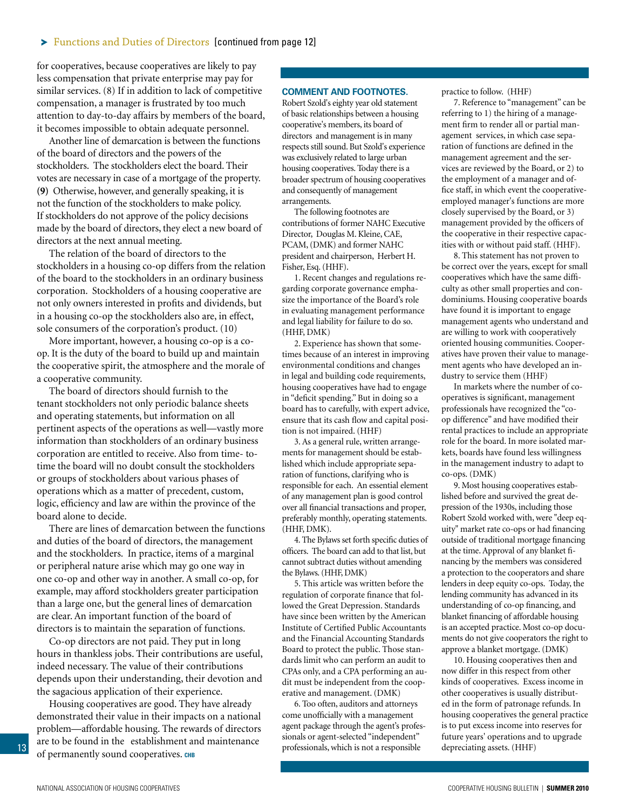for cooperatives, because cooperatives are likely to pay less compensation that private enterprise may pay for similar services. (8) If in addition to lack of competitive compensation, a manager is frustrated by too much attention to day-to-day affairs by members of the board, it becomes impossible to obtain adequate personnel.

Another line of demarcation is between the functions of the board of directors and the powers of the stockholders. The stockholders elect the board. Their votes are necessary in case of a mortgage of the property. **(9)** Otherwise, however, and generally speaking, it is not the function of the stockholders to make policy. If stockholders do not approve of the policy decisions made by the board of directors, they elect a new board of directors at the next annual meeting.

The relation of the board of directors to the stockholders in a housing co-op differs from the relation of the board to the stockholders in an ordinary business corporation. Stockholders of a housing cooperative are not only owners interested in profits and dividends, but in a housing co-op the stockholders also are, in effect, sole consumers of the corporation's product. (10)

More important, however, a housing co-op is a coop. It is the duty of the board to build up and maintain the cooperative spirit, the atmosphere and the morale of a cooperative community.

The board of directors should furnish to the tenant stockholders not only periodic balance sheets and operating statements, but information on all pertinent aspects of the operations as well—vastly more information than stockholders of an ordinary business corporation are entitled to receive. Also from time- totime the board will no doubt consult the stockholders or groups of stockholders about various phases of operations which as a matter of precedent, custom, logic, efficiency and law are within the province of the board alone to decide.

There are lines of demarcation between the functions and duties of the board of directors, the management and the stockholders. In practice, items of a marginal or peripheral nature arise which may go one way in one co-op and other way in another. A small co-op, for example, may afford stockholders greater participation than a large one, but the general lines of demarcation are clear. An important function of the board of directors is to maintain the separation of functions.

Co-op directors are not paid. They put in long hours in thankless jobs. Their contributions are useful, indeed necessary. The value of their contributions depends upon their understanding, their devotion and the sagacious application of their experience.

Housing cooperatives are good. They have already demonstrated their value in their impacts on a national problem—affordable housing. The rewards of directors are to be found in the establishment and maintenance of permanently sound cooperatives. **chb**

#### **Comment and Footnotes.**

Robert Szold's eighty year old statement of basic relationships between a housing cooperative's members, its board of directors and management is in many respects still sound. But Szold's experience was exclusively related to large urban housing cooperatives. Today there is a broader spectrum of housing cooperatives and consequently of management arrangements.

The following footnotes are contributions of former NAHC Executive Director, Douglas M. Kleine, CAE, PCAM, (DMK) and former NAHC president and chairperson, Herbert H. Fisher, Esq. (HHF).

1. Recent changes and regulations regarding corporate governance emphasize the importance of the Board's role in evaluating management performance and legal liability for failure to do so. (HHF, DMK)

2. Experience has shown that sometimes because of an interest in improving environmental conditions and changes in legal and building code requirements, housing cooperatives have had to engage in "deficit spending." But in doing so a board has to carefully, with expert advice, ensure that its cash flow and capital position is not impaired. (HHF)

3. As a general rule, written arrangements for management should be established which include appropriate separation of functions, clarifying who is responsible for each. An essential element of any management plan is good control over all financial transactions and proper, preferably monthly, operating statements. (HHF, DMK).

4. The Bylaws set forth specific duties of officers. The board can add to that list, but cannot subtract duties without amending the Bylaws. (HHF, DMK)

5. This article was written before the regulation of corporate finance that followed the Great Depression. Standards have since been written by the American Institute of Certified Public Accountants and the Financial Accounting Standards Board to protect the public. Those standards limit who can perform an audit to CPAs only, and a CPA performing an audit must be independent from the cooperative and management. (DMK)

6. Too often, auditors and attorneys come unofficially with a management agent package through the agent's professionals or agent-selected "independent" professionals, which is not a responsible

practice to follow. (HHF)

7. Reference to "management" can be referring to 1) the hiring of a management firm to render all or partial management services, in which case separation of functions are defined in the management agreement and the services are reviewed by the Board, or 2) to the employment of a manager and office staff, in which event the cooperativeemployed manager's functions are more closely supervised by the Board, or 3) management provided by the officers of the cooperative in their respective capacities with or without paid staff. (HHF).

8. This statement has not proven to be correct over the years, except for small cooperatives which have the same difficulty as other small properties and condominiums. Housing cooperative boards have found it is important to engage management agents who understand and are willing to work with cooperatively oriented housing communities. Cooperatives have proven their value to management agents who have developed an industry to service them (HHF)

In markets where the number of cooperatives is significant, management professionals have recognized the "coop difference" and have modified their rental practices to include an appropriate role for the board. In more isolated markets, boards have found less willingness in the management industry to adapt to co-ops. (DMK)

9. Most housing cooperatives established before and survived the great depression of the 1930s, including those Robert Szold worked with, were "deep equity" market rate co-ops or had financing outside of traditional mortgage financing at the time. Approval of any blanket financing by the members was considered a protection to the cooperators and share lenders in deep equity co-ops. Today, the lending community has advanced in its understanding of co-op financing, and blanket financing of affordable housing is an accepted practice. Most co-op documents do not give cooperators the right to approve a blanket mortgage. (DMK)

10. Housing cooperatives then and now differ in this respect from other kinds of cooperatives. Excess income in other cooperatives is usually distributed in the form of patronage refunds. In housing cooperatives the general practice is to put excess income into reserves for future years' operations and to upgrade depreciating assets. (HHF)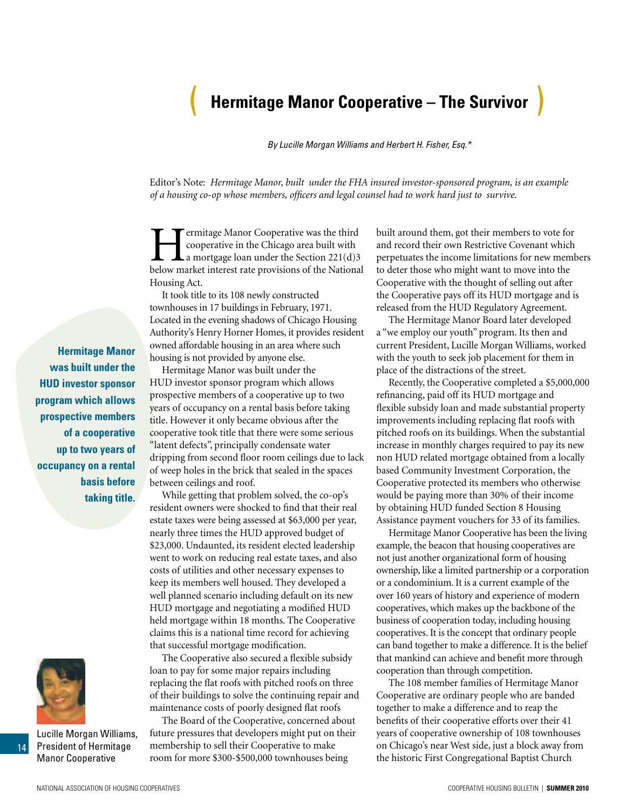### <span id="page-13-0"></span>( **Hermitage Manor Cooperative – The Survivor** )

*By Lucille Morgan Williams and Herbert H. Fisher, Esq.\**

Editor's Note: *Hermitage Manor, built under the FHA insured investor-sponsored program, is an example of a housing co-op whose members, officers and legal counsel had to work hard just to survive.*

Fermitage Manor Cooperative was the third<br>cooperative in the Chicago area built with<br>a mortgage loan under the Section 221(d)3<br>helow market interest rate provisions of the Nationa cooperative in the Chicago area built with a mortgage loan under the Section 221(d)3 below market interest rate provisions of the National Housing Act.

It took title to its 108 newly constructed townhouses in 17 buildings in February, 1971. Located in the evening shadows of Chicago Housing Authority's Henry Horner Homes, it provides resident owned affordable housing in an area where such housing is not provided by anyone else.

Hermitage Manor was built under the HUD investor sponsor program which allows prospective members of a cooperative up to two years of occupancy on a rental basis before taking title. However it only became obvious after the cooperative took title that there were some serious "latent defects", principally condensate water dripping from second floor room ceilings due to lack of weep holes in the brick that sealed in the spaces between ceilings and roof.

While getting that problem solved, the co-op's resident owners were shocked to find that their real estate taxes were being assessed at \$63,000 per year, nearly three times the HUD approved budget of \$23,000. Undaunted, its resident elected leadership went to work on reducing real estate taxes, and also costs of utilities and other necessary expenses to keep its members well housed. They developed a well planned scenario including default on its new HUD mortgage and negotiating a modified HUD held mortgage within 18 months. The Cooperative claims this is a national time record for achieving that successful mortgage modification.

The Cooperative also secured a flexible subsidy loan to pay for some major repairs including replacing the flat roofs with pitched roofs on three of their buildings to solve the continuing repair and maintenance costs of poorly designed flat roofs

The Board of the Cooperative, concerned about future pressures that developers might put on their membership to sell their Cooperative to make room for more \$300-\$500,000 townhouses being

built around them, got their members to vote for and record their own Restrictive Covenant which perpetuates the income limitations for new members to deter those who might want to move into the Cooperative with the thought of selling out after the Cooperative pays off its HUD mortgage and is released from the HUD Regulatory Agreement.

The Hermitage Manor Board later developed a "we employ our youth" program. Its then and current President, Lucille Morgan Williams, worked with the youth to seek job placement for them in place of the distractions of the street.

Recently, the Cooperative completed a \$5,000,000 refinancing, paid off its HUD mortgage and flexible subsidy loan and made substantial property improvements including replacing flat roofs with pitched roofs on its buildings. When the substantial increase in monthly charges required to pay its new non HUD related mortgage obtained from a locally based Community Investment Corporation, the Cooperative protected its members who otherwise would be paying more than 30% of their income by obtaining HUD funded Section 8 Housing Assistance payment vouchers for 33 of its families.

Hermitage Manor Cooperative has been the living example, the beacon that housing cooperatives are not just another organizational form of housing ownership, like a limited partnership or a corporation or a condominium. It is a current example of the over 160 years of history and experience of modern cooperatives, which makes up the backbone of the business of cooperation today, including housing cooperatives. It is the concept that ordinary people can band together to make a difference. It is the belief that mankind can achieve and benefit more through cooperation than through competition.

The 108 member families of Hermitage Manor Cooperative are ordinary people who are banded together to make a difference and to reap the benefits of their cooperative efforts over their 41 years of cooperative ownership of 108 townhouses on Chicago's near West side, just a block away from the historic First Congregational Baptist Church

**Hermitage Manor was built under the HUD investor sponsor program which allows prospective members of a cooperative up to two years of occupancy on a rental basis before taking title.** 



Lucille Morgan Williams, President of Hermitage Manor Cooperative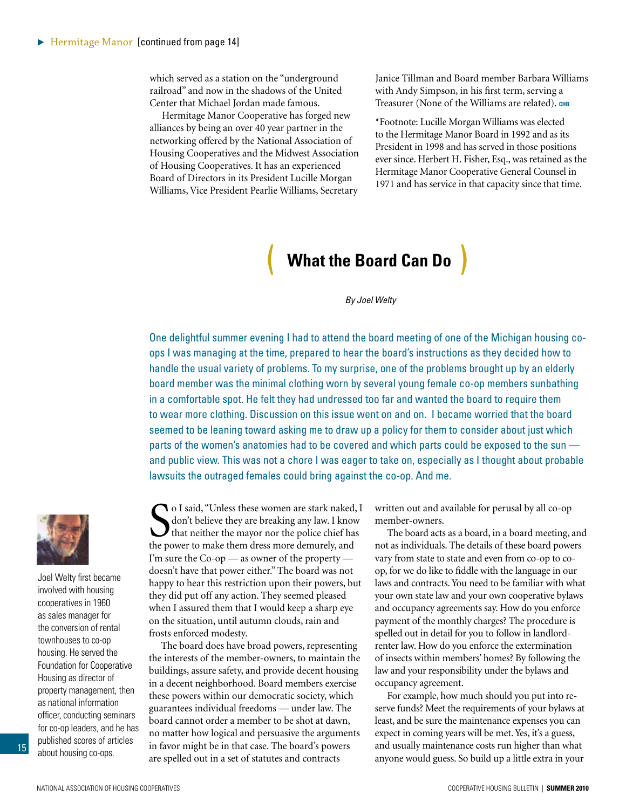<span id="page-14-0"></span>which served as a station on the "underground" railroad" and now in the shadows of the United Center that Michael Jordan made famous.

Hermitage Manor Cooperative has forged new alliances by being an over 40 year partner in the networking offered by the National Association of Housing Cooperatives and the Midwest Association of Housing Cooperatives. It has an experienced Board of Directors in its President Lucille Morgan Williams, Vice President Pearlie Williams, Secretary

Janice Tillman and Board member Barbara Williams with Andy Simpson, in his first term, serving a Treasurer (None of the Williams are related). CHB

\*Footnote: Lucille Morgan Williams was elected to the Hermitage Manor Board in 1992 and as its President in 1998 and has served in those positions ever since. Herbert H. Fisher, Esq., was retained as the Hermitage Manor Cooperative General Counsel in 1971 and has service in that capacity since that time.

### ( **What the Board Can Do** )

*By Joel Welty*

One delightful summer evening I had to attend the board meeting of one of the Michigan housing coops I was managing at the time, prepared to hear the board's instructions as they decided how to handle the usual variety of problems. To my surprise, one of the problems brought up by an elderly board member was the minimal clothing worn by several young female co-op members sunbathing in a comfortable spot. He felt they had undressed too far and wanted the board to require them to wear more clothing. Discussion on this issue went on and on. I became worried that the board seemed to be leaning toward asking me to draw up a policy for them to consider about just which parts of the women's anatomies had to be covered and which parts could be exposed to the sun and public view. This was not a chore I was eager to take on, especially as I thought about probable lawsuits the outraged females could bring against the co-op. And me.

Joel Welty first became involved with housing cooperatives in 1960 as sales manager for the conversion of rental townhouses to co-op housing. He served the Foundation for Cooperative Housing as director of property management, then as national information officer, conducting seminars for co-op leaders, and he has published scores of articles about housing co-ops.

15

**S** o I said, "Unless these women are stark naked, don't believe they are breaking any law. I know that neither the mayor nor the police chief has the power to make them dress more demurely, and o I said, "Unless these women are stark naked, I don't believe they are breaking any law. I know that neither the mayor nor the police chief has I'm sure the Co-op — as owner of the property doesn't have that power either." The board was not happy to hear this restriction upon their powers, but they did put off any action. They seemed pleased when I assured them that I would keep a sharp eye on the situation, until autumn clouds, rain and frosts enforced modesty.

The board does have broad powers, representing the interests of the member-owners, to maintain the buildings, assure safety, and provide decent housing in a decent neighborhood. Board members exercise these powers within our democratic society, which guarantees individual freedoms — under law. The board cannot order a member to be shot at dawn, no matter how logical and persuasive the arguments in favor might be in that case. The board's powers are spelled out in a set of statutes and contracts

written out and available for perusal by all co-op member-owners.

The board acts as a board, in a board meeting, and not as individuals. The details of these board powers vary from state to state and even from co-op to coop, for we do like to fiddle with the language in our laws and contracts. You need to be familiar with what your own state law and your own cooperative bylaws and occupancy agreements say. How do you enforce payment of the monthly charges? The procedure is spelled out in detail for you to follow in landlordrenter law. How do you enforce the extermination of insects within members' homes? By following the law and your responsibility under the bylaws and occupancy agreement.

For example, how much should you put into reserve funds? Meet the requirements of your bylaws at least, and be sure the maintenance expenses you can expect in coming years will be met. Yes, it's a guess, and usually maintenance costs run higher than what anyone would guess. So build up a little extra in your

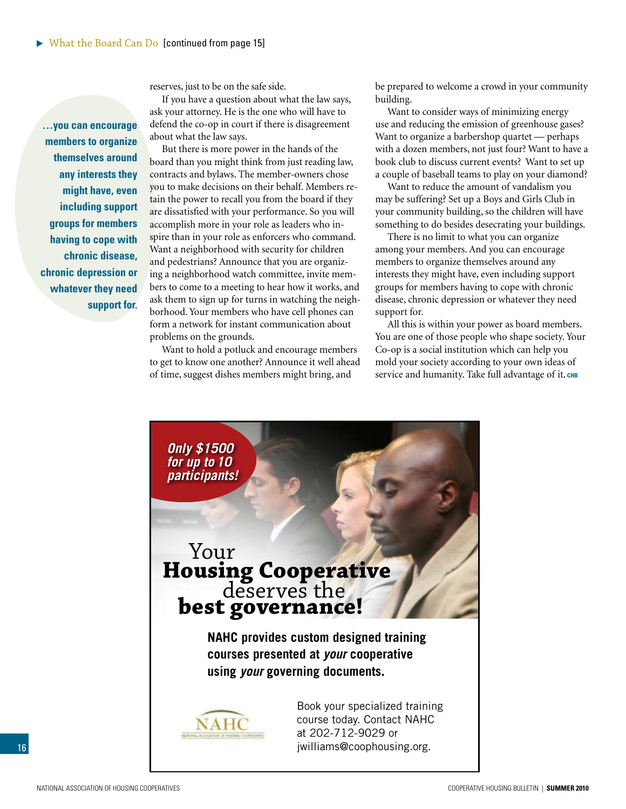reserves, just to be on the safe side.

If you have a question about what the law says, ask your attorney. He is the one who will have to defend the co-op in court if there is disagreement about what the law says.

But there is more power in the hands of the board than you might think from just reading law, contracts and bylaws. The member-owners chose you to make decisions on their behalf. Members retain the power to recall you from the board if they are dissatisfied with your performance. So you will accomplish more in your role as leaders who inspire than in your role as enforcers who command. Want a neighborhood with security for children and pedestrians? Announce that you are organizing a neighborhood watch committee, invite members to come to a meeting to hear how it works, and ask them to sign up for turns in watching the neighborhood. Your members who have cell phones can form a network for instant communication about problems on the grounds.

Want to hold a potluck and encourage members to get to know one another? Announce it well ahead of time, suggest dishes members might bring, and

be prepared to welcome a crowd in your community building.

Want to consider ways of minimizing energy use and reducing the emission of greenhouse gases? Want to organize a barbershop quartet — perhaps with a dozen members, not just four? Want to have a book club to discuss current events? Want to set up a couple of baseball teams to play on your diamond?

Want to reduce the amount of vandalism you may be suffering? Set up a Boys and Girls Club in your community building, so the children will have something to do besides desecrating your buildings.

There is no limit to what you can organize among your members. And you can encourage members to organize themselves around any interests they might have, even including support groups for members having to cope with chronic disease, chronic depression or whatever they need support for.

All this is within your power as board members. You are one of those people who shape society. Your Co-op is a social institution which can help you mold your society according to your own ideas of service and humanity. Take full advantage of it. **chb**



**…you can encourage members to organize themselves around any interests they might have, even including support groups for members having to cope with chronic disease, chronic depression or whatever they need support for.**